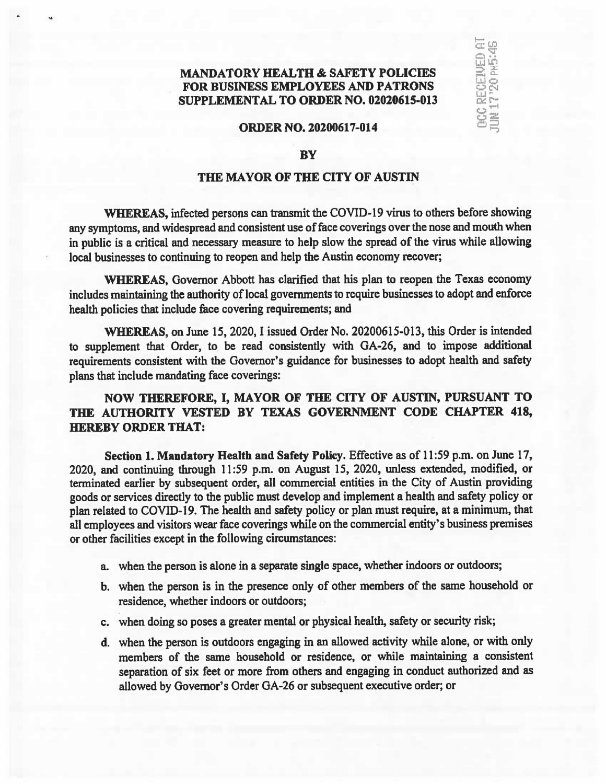## **MANDATORY HEALTH & SAFETY POLICIES** FOR BUSINESS EMPLOYEES AND PATRONS SUPPLEMENTAL TO ORDER NO. 02020615-013

يتها اس

& r $rac{c}{2}$ 

.

## ORDER NO. 20200617-014

## **BY**

## THE MAYOR OF THE CITY OF AUSTIN

WHEREAS, infected persons can transmit the COVID-19 virus to others before showing any symptoms, and widespread and consistent use of face coverings over the nose and mouth when in public is a critical and necessary measure to help slow the spread of the virus while allowing local businesses to continuing to reopen and help the Austin economy recover;

WHEREAS, Governor Abbott has clarified that his plan to reopen the Texas economy includes maintaining the authority of local governments to require businesses to adopt and enforce health policies that include face covering requirements; and

WHEREAS, on June 15, 2020, I issued Order No. 20200615-013, this Order is intended to supplement that Order, to be read consistently with GA-26, and to impose additional requirements consistent with the Governor's guidance for businesses to adopt health and safety plans that include mandating face coverings:

NOW THEREFORE, I, MAYOR OF THE CITY OF AUSTIN, PURSUANT TO THE AUTHORITY VESTED BY TEXAS GOVERNMENT CODE CHAPTER 418, HEREBY ORDER THAT:

Section 1. Mandatory Health and Safety Policy. Effective as of 11:59 p.m. on June 17, 2020, and continuing through 11:59 p.m. on August 15, 2020, unless extended, modified, or terminated earlier by subsequent order, all commercial entities in the City of Austin providing goods or services directly to the public must develop and implement <sup>a</sup> health and safety policy or plan related to COVID-19. The health and safety policy or plan must require, at <sup>a</sup> minimum, that all employees and visitors wear face coverings while on the commercial entity's business premises or other facilities except in the following circumstances:

- a. when the person is alone in <sup>a</sup> separate single space, whether indoors or outdoors;
- b. when the person is in the presence only of other members of the same household or residence, whether indoors or outdoors;
- c. when doing so poses a greater mental or physical health, safety or security risk;
- d. when the person is outdoors engaging in an allowed activity while alone, or with only members of the same household or residence, or while maintaining a consistent separation of six feet or more from others and engaging in conduct authorized and as allowed by Governor's Order GA-26 or subsequent executive order; or